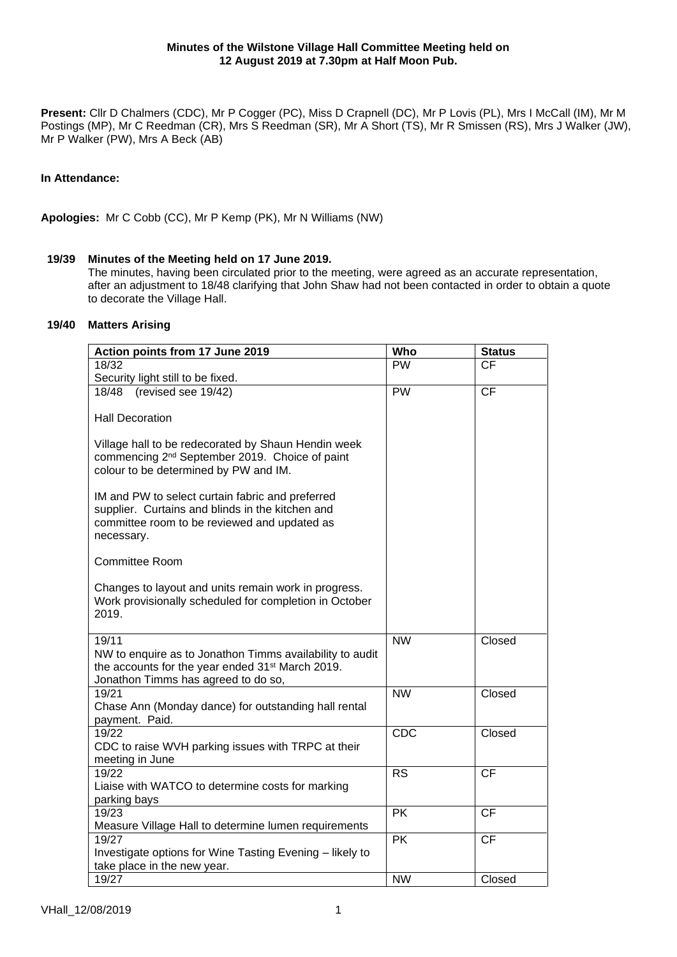**Present:** Cllr D Chalmers (CDC), Mr P Cogger (PC), Miss D Crapnell (DC), Mr P Lovis (PL), Mrs I McCall (IM), Mr M Postings (MP), Mr C Reedman (CR), Mrs S Reedman (SR), Mr A Short (TS), Mr R Smissen (RS), Mrs J Walker (JW), Mr P Walker (PW), Mrs A Beck (AB)

# **In Attendance:**

**Apologies:** Mr C Cobb (CC), Mr P Kemp (PK), Mr N Williams (NW)

# **19/39 Minutes of the Meeting held on 17 June 2019.**

The minutes, having been circulated prior to the meeting, were agreed as an accurate representation, after an adjustment to 18/48 clarifying that John Shaw had not been contacted in order to obtain a quote to decorate the Village Hall.

# **19/40 Matters Arising**

| Action points from 17 June 2019                                                                                                                                    | Who       | <b>Status</b> |
|--------------------------------------------------------------------------------------------------------------------------------------------------------------------|-----------|---------------|
| 18/32                                                                                                                                                              | <b>PW</b> | <b>CF</b>     |
| Security light still to be fixed.                                                                                                                                  |           |               |
| (revised see 19/42)<br>18/48                                                                                                                                       | <b>PW</b> | CF            |
| <b>Hall Decoration</b>                                                                                                                                             |           |               |
| Village hall to be redecorated by Shaun Hendin week<br>commencing 2 <sup>nd</sup> September 2019. Choice of paint<br>colour to be determined by PW and IM.         |           |               |
| IM and PW to select curtain fabric and preferred<br>supplier. Curtains and blinds in the kitchen and<br>committee room to be reviewed and updated as<br>necessary. |           |               |
| <b>Committee Room</b>                                                                                                                                              |           |               |
| Changes to layout and units remain work in progress.<br>Work provisionally scheduled for completion in October<br>2019.                                            |           |               |
| 19/11                                                                                                                                                              | <b>NW</b> | Closed        |
| NW to enquire as to Jonathon Timms availability to audit<br>the accounts for the year ended 31 <sup>st</sup> March 2019.<br>Jonathon Timms has agreed to do so,    |           |               |
| 19/21<br>Chase Ann (Monday dance) for outstanding hall rental                                                                                                      | <b>NW</b> | Closed        |
| payment. Paid.                                                                                                                                                     | CDC       | Closed        |
| 19/22<br>CDC to raise WVH parking issues with TRPC at their<br>meeting in June                                                                                     |           |               |
| 19/22                                                                                                                                                              | <b>RS</b> | <b>CF</b>     |
| Liaise with WATCO to determine costs for marking<br>parking bays                                                                                                   |           |               |
| 19/23                                                                                                                                                              | <b>PK</b> | <b>CF</b>     |
| Measure Village Hall to determine lumen requirements                                                                                                               |           |               |
| 19/27                                                                                                                                                              | <b>PK</b> | <b>CF</b>     |
| Investigate options for Wine Tasting Evening - likely to<br>take place in the new year.                                                                            |           |               |
| 19/27                                                                                                                                                              | <b>NW</b> | Closed        |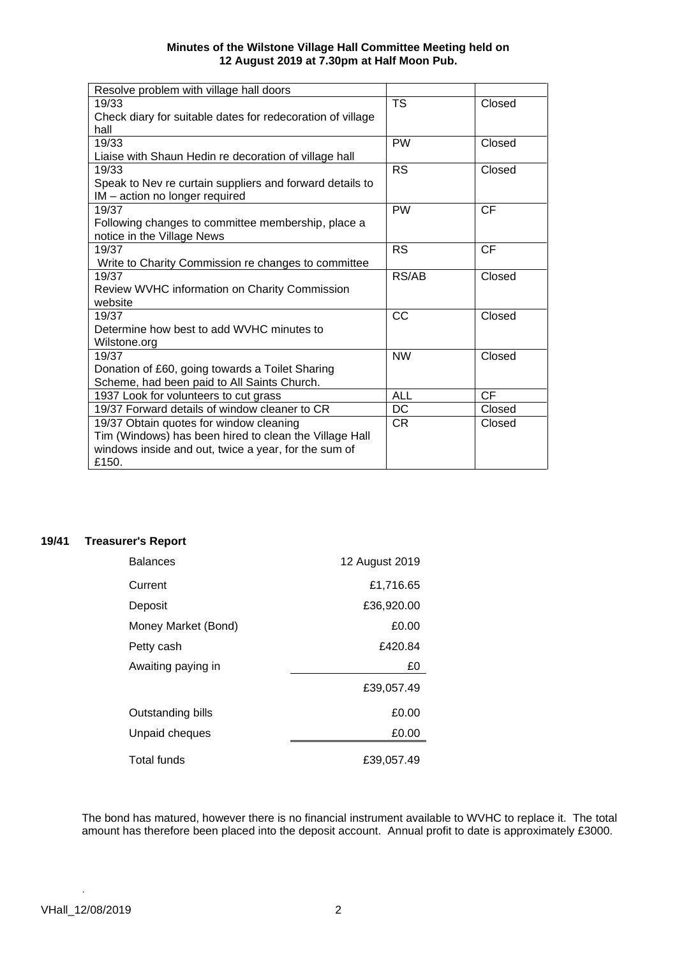| Resolve problem with village hall doors                    |            |           |
|------------------------------------------------------------|------------|-----------|
| 19/33                                                      | <b>TS</b>  | Closed    |
| Check diary for suitable dates for redecoration of village |            |           |
| hall                                                       |            |           |
| 19/33                                                      | <b>PW</b>  | Closed    |
| Liaise with Shaun Hedin re decoration of village hall      |            |           |
| 19/33                                                      | <b>RS</b>  | Closed    |
| Speak to Nev re curtain suppliers and forward details to   |            |           |
| IM - action no longer required                             |            |           |
| 19/37                                                      | <b>PW</b>  | <b>CF</b> |
| Following changes to committee membership, place a         |            |           |
| notice in the Village News                                 |            |           |
| 19/37                                                      | <b>RS</b>  | <b>CF</b> |
| Write to Charity Commission re changes to committee        |            |           |
| 19/37                                                      | RS/AB      | Closed    |
| Review WVHC information on Charity Commission              |            |           |
| website                                                    |            |           |
| 19/37                                                      | CC         | Closed    |
| Determine how best to add WVHC minutes to                  |            |           |
| Wilstone.org                                               |            |           |
| 19/37                                                      | <b>NW</b>  | Closed    |
| Donation of £60, going towards a Toilet Sharing            |            |           |
| Scheme, had been paid to All Saints Church.                |            |           |
| 1937 Look for volunteers to cut grass                      | <b>ALL</b> | <b>CF</b> |
| 19/37 Forward details of window cleaner to CR              | DC         | Closed    |
| 19/37 Obtain quotes for window cleaning                    | CR.        | Closed    |
| Tim (Windows) has been hired to clean the Village Hall     |            |           |
| windows inside and out, twice a year, for the sum of       |            |           |
| £150.                                                      |            |           |

# **19/41 Treasurer's Report**

| <b>Balances</b>     | 12 August 2019 |
|---------------------|----------------|
| Current             | £1,716.65      |
| Deposit             | £36,920.00     |
| Money Market (Bond) | £0.00          |
| Petty cash          | £420.84        |
| Awaiting paying in  | £0             |
|                     | £39,057.49     |
| Outstanding bills   | £0.00          |
| Unpaid cheques      | £0.00          |
| Total funds         | £39,057.49     |

The bond has matured, however there is no financial instrument available to WVHC to replace it. The total amount has therefore been placed into the deposit account. Annual profit to date is approximately £3000.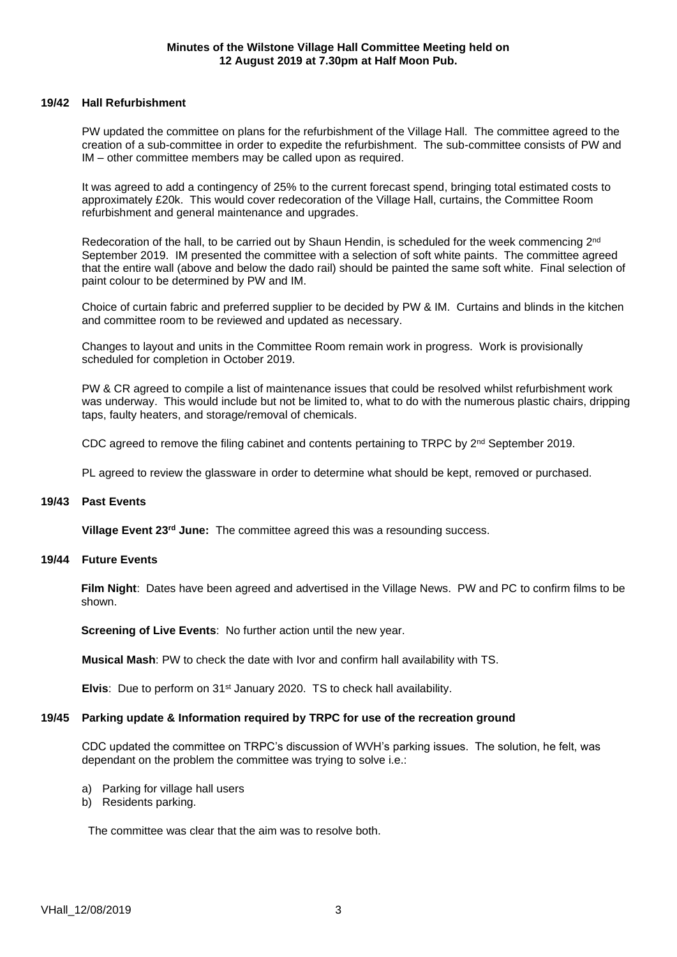## **19/42 Hall Refurbishment**

PW updated the committee on plans for the refurbishment of the Village Hall. The committee agreed to the creation of a sub-committee in order to expedite the refurbishment. The sub-committee consists of PW and IM – other committee members may be called upon as required.

It was agreed to add a contingency of 25% to the current forecast spend, bringing total estimated costs to approximately £20k. This would cover redecoration of the Village Hall, curtains, the Committee Room refurbishment and general maintenance and upgrades.

Redecoration of the hall, to be carried out by Shaun Hendin, is scheduled for the week commencing 2<sup>nd</sup> September 2019. IM presented the committee with a selection of soft white paints. The committee agreed that the entire wall (above and below the dado rail) should be painted the same soft white. Final selection of paint colour to be determined by PW and IM.

Choice of curtain fabric and preferred supplier to be decided by PW & IM. Curtains and blinds in the kitchen and committee room to be reviewed and updated as necessary.

Changes to layout and units in the Committee Room remain work in progress. Work is provisionally scheduled for completion in October 2019.

PW & CR agreed to compile a list of maintenance issues that could be resolved whilst refurbishment work was underway. This would include but not be limited to, what to do with the numerous plastic chairs, dripping taps, faulty heaters, and storage/removal of chemicals.

CDC agreed to remove the filing cabinet and contents pertaining to TRPC by  $2<sup>nd</sup>$  September 2019.

PL agreed to review the glassware in order to determine what should be kept, removed or purchased.

#### **19/43 Past Events**

**Village Event 23rd June:** The committee agreed this was a resounding success.

#### **19/44 Future Events**

**Film Night**: Dates have been agreed and advertised in the Village News. PW and PC to confirm films to be shown.

**Screening of Live Events**: No further action until the new year.

**Musical Mash**: PW to check the date with Ivor and confirm hall availability with TS.

**Elvis**: Due to perform on 31st January 2020. TS to check hall availability.

#### **19/45 Parking update & Information required by TRPC for use of the recreation ground**

CDC updated the committee on TRPC's discussion of WVH's parking issues. The solution, he felt, was dependant on the problem the committee was trying to solve i.e.:

- a) Parking for village hall users
- b) Residents parking.

The committee was clear that the aim was to resolve both.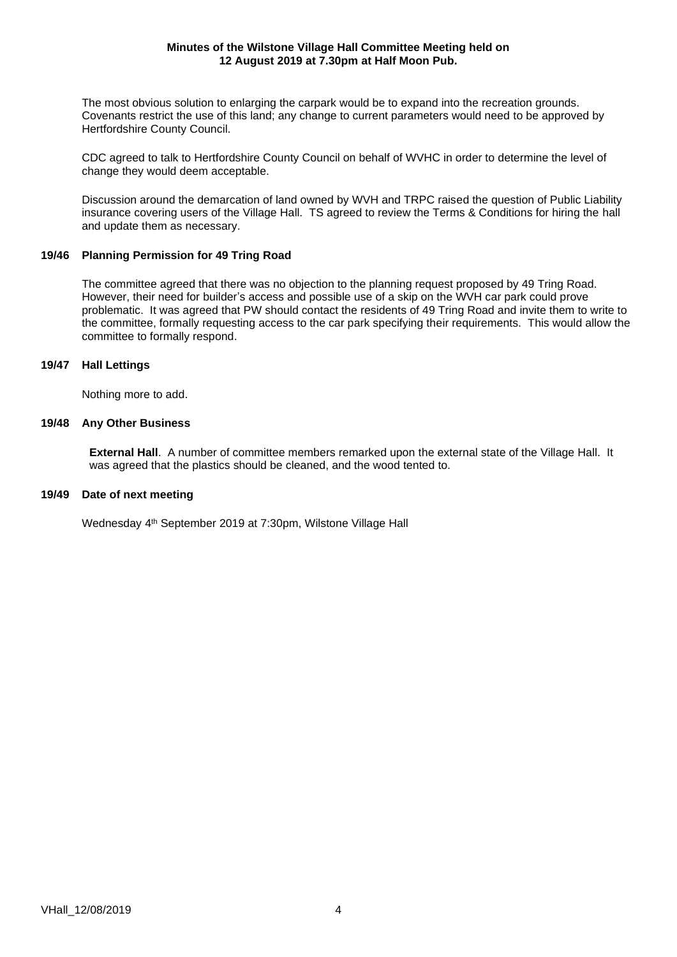The most obvious solution to enlarging the carpark would be to expand into the recreation grounds. Covenants restrict the use of this land; any change to current parameters would need to be approved by Hertfordshire County Council.

CDC agreed to talk to Hertfordshire County Council on behalf of WVHC in order to determine the level of change they would deem acceptable.

Discussion around the demarcation of land owned by WVH and TRPC raised the question of Public Liability insurance covering users of the Village Hall. TS agreed to review the Terms & Conditions for hiring the hall and update them as necessary.

# **19/46 Planning Permission for 49 Tring Road**

The committee agreed that there was no objection to the planning request proposed by 49 Tring Road. However, their need for builder's access and possible use of a skip on the WVH car park could prove problematic. It was agreed that PW should contact the residents of 49 Tring Road and invite them to write to the committee, formally requesting access to the car park specifying their requirements. This would allow the committee to formally respond.

# **19/47 Hall Lettings**

Nothing more to add.

# **19/48 Any Other Business**

**External Hall**. A number of committee members remarked upon the external state of the Village Hall. It was agreed that the plastics should be cleaned, and the wood tented to.

#### **19/49 Date of next meeting**

Wednesday 4<sup>th</sup> September 2019 at 7:30pm, Wilstone Village Hall